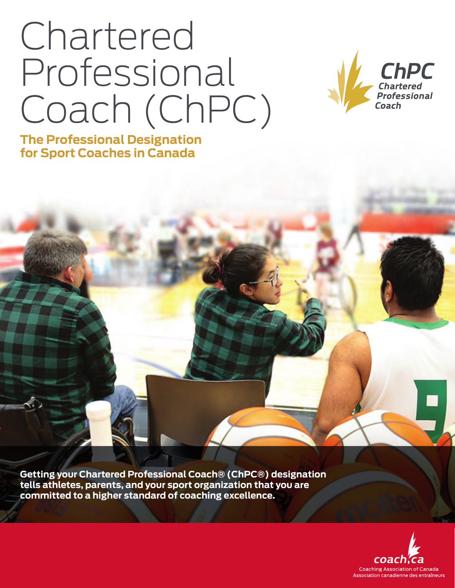# Chartered Professional Coach (ChPC)



**The Professional Designation for Sport Coaches in Canada**

**Getting your Chartered Professional Coach® (ChPC®) designation tells athletes, parents, and your sport organization that you are committed to a higher standard of coaching excellence.**

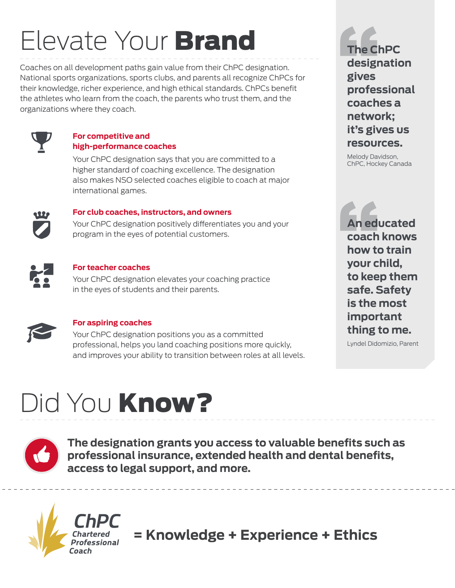## Elevate Your Brand

Coaches on all development paths gain value from their ChPC designation. National sports organizations, sports clubs, and parents all recognize ChPCs for their knowledge, richer experience, and high ethical standards. ChPCs benefit the athletes who learn from the coach, the parents who trust them, and the organizations where they coach.



#### **For competitive and high-performance coaches**

Your ChPC designation says that you are committed to a higher standard of coaching excellence. The designation also makes NSO selected coaches eligible to coach at major international games.



#### **For club coaches, instructors, and owners**

Your ChPC designation positively differentiates you and your program in the eyes of potential customers.



#### **For teacher coaches**

Your ChPC designation elevates your coaching practice in the eyes of students and their parents.



#### **For aspiring coaches**

Your ChPC designation positions you as a committed professional, helps you land coaching positions more quickly, and improves your ability to transition between roles at all levels. The Cl<br>desigr<br>gives<br>profes **The ChPC designation gives professional coaches a network; it's gives us resources.**

Melody Davidson, ChPC, Hockey Canada

An edu<br>coach<br>how to<br>your cl **An educated coach knows how to train your child, to keep them safe. Safety is the most important thing to me.**

Lyndel Didomizio, Parent

## Did You Know?



**The designation grants you access to valuable benefits such as professional insurance, extended health and dental benefits, access to legal support, and more.**



**= Knowledge + Experience + Ethics**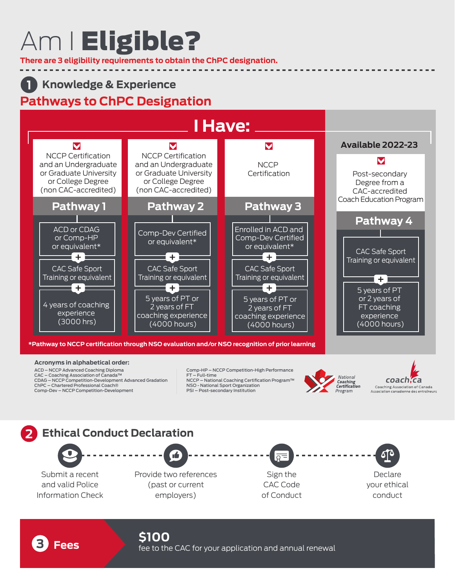## Am I Eligible?

**There are 3 eligibility requirements to obtain the ChPC designation.**

#### **Knowledge & Experience Pathways to ChPC Designation 1**

### **I Have:**



#### **Acronyms in alphabetical order:**

ACD – NCCP Advanced Coaching Diploma CAC – Coaching Association of Canada™ CDAG – NCCP Competition-Development Advanced Gradation ChPC – Chartered Professional Coach® Comp-Dev – NCCP Competition-Development

Comp-HP – NCCP Competition-High Performance FT – Full-time NCCP – National Coaching Certification Program™ NSO - National Sport Organization PSI – Post-secondary Institution



coach, ca Coaching Association of Canada Association canadienne des entraîneurs

----------------------





**Fees Fees follows f**ee to the CAC for your application and annual renewal